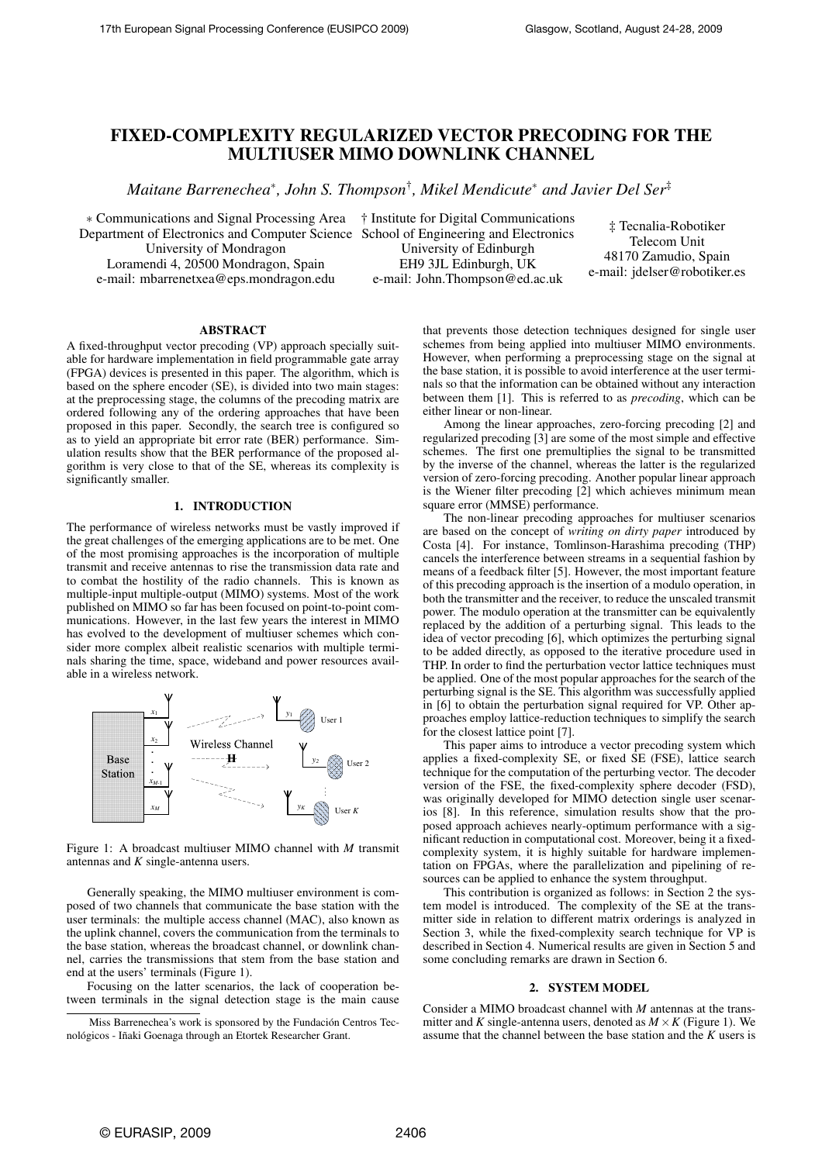# FIXED-COMPLEXITY REGULARIZED VECTOR PRECODING FOR THE MULTIUSER MIMO DOWNLINK CHANNEL

*Maitane Barrenechea*<sup>∗</sup> *, John S. Thompson*† *, Mikel Mendicute*<sup>∗</sup> *and Javier Del Ser*‡

∗ Communications and Signal Processing Area † Institute for Digital Communications Department of Electronics and Computer Science School of Engineering and Electronics University of Mondragon Loramendi 4, 20500 Mondragon, Spain e-mail: mbarrenetxea@eps.mondragon.edu

University of Edinburgh EH9 3JL Edinburgh, UK e-mail: John.Thompson@ed.ac.uk

‡ Tecnalia-Robotiker Telecom Unit 48170 Zamudio, Spain e-mail: jdelser@robotiker.es

# ABSTRACT

A fixed-throughput vector precoding (VP) approach specially suitable for hardware implementation in field programmable gate array (FPGA) devices is presented in this paper. The algorithm, which is based on the sphere encoder (SE), is divided into two main stages: at the preprocessing stage, the columns of the precoding matrix are ordered following any of the ordering approaches that have been proposed in this paper. Secondly, the search tree is configured so as to yield an appropriate bit error rate (BER) performance. Simulation results show that the BER performance of the proposed algorithm is very close to that of the SE, whereas its complexity is significantly smaller.

#### 1. INTRODUCTION

The performance of wireless networks must be vastly improved if the great challenges of the emerging applications are to be met. One of the most promising approaches is the incorporation of multiple transmit and receive antennas to rise the transmission data rate and to combat the hostility of the radio channels. This is known as multiple-input multiple-output (MIMO) systems. Most of the work published on MIMO so far has been focused on point-to-point communications. However, in the last few years the interest in MIMO has evolved to the development of multiuser schemes which consider more complex albeit realistic scenarios with multiple terminals sharing the time, space, wideband and power resources available in a wireless network.



Figure 1: A broadcast multiuser MIMO channel with *M* transmit antennas and *K* single-antenna users.

Generally speaking, the MIMO multiuser environment is composed of two channels that communicate the base station with the user terminals: the multiple access channel (MAC), also known as the uplink channel, covers the communication from the terminals to the base station, whereas the broadcast channel, or downlink channel, carries the transmissions that stem from the base station and end at the users' terminals (Figure 1).

Focusing on the latter scenarios, the lack of cooperation between terminals in the signal detection stage is the main cause that prevents those detection techniques designed for single user schemes from being applied into multiuser MIMO environments. However, when performing a preprocessing stage on the signal at the base station, it is possible to avoid interference at the user terminals so that the information can be obtained without any interaction between them [1]. This is referred to as *precoding*, which can be either linear or non-linear.

Among the linear approaches, zero-forcing precoding [2] and regularized precoding [3] are some of the most simple and effective schemes. The first one premultiplies the signal to be transmitted by the inverse of the channel, whereas the latter is the regularized version of zero-forcing precoding. Another popular linear approach is the Wiener filter precoding [2] which achieves minimum mean square error (MMSE) performance.

The non-linear precoding approaches for multiuser scenarios are based on the concept of *writing on dirty paper* introduced by Costa [4]. For instance, Tomlinson-Harashima precoding (THP) cancels the interference between streams in a sequential fashion by means of a feedback filter [5]. However, the most important feature of this precoding approach is the insertion of a modulo operation, in both the transmitter and the receiver, to reduce the unscaled transmit power. The modulo operation at the transmitter can be equivalently replaced by the addition of a perturbing signal. This leads to the idea of vector precoding [6], which optimizes the perturbing signal to be added directly, as opposed to the iterative procedure used in THP. In order to find the perturbation vector lattice techniques must be applied. One of the most popular approaches for the search of the perturbing signal is the SE. This algorithm was successfully applied in [6] to obtain the perturbation signal required for VP. Other approaches employ lattice-reduction techniques to simplify the search for the closest lattice point [7].

This paper aims to introduce a vector precoding system which applies a fixed-complexity SE, or fixed SE (FSE), lattice search technique for the computation of the perturbing vector. The decoder version of the FSE, the fixed-complexity sphere decoder (FSD), was originally developed for MIMO detection single user scenarios [8]. In this reference, simulation results show that the proposed approach achieves nearly-optimum performance with a significant reduction in computational cost. Moreover, being it a fixedcomplexity system, it is highly suitable for hardware implementation on FPGAs, where the parallelization and pipelining of resources can be applied to enhance the system throughput.

This contribution is organized as follows: in Section 2 the system model is introduced. The complexity of the SE at the transmitter side in relation to different matrix orderings is analyzed in Section 3, while the fixed-complexity search technique for VP is described in Section 4. Numerical results are given in Section 5 and some concluding remarks are drawn in Section 6.

### 2. SYSTEM MODEL

Consider a MIMO broadcast channel with *M* antennas at the transmitter and *K* single-antenna users, denoted as  $M \times K$  (Figure 1). We assume that the channel between the base station and the *K* users is

Miss Barrenechea's work is sponsored by the Fundación Centros Tecnológicos - Iñaki Goenaga through an Etortek Researcher Grant.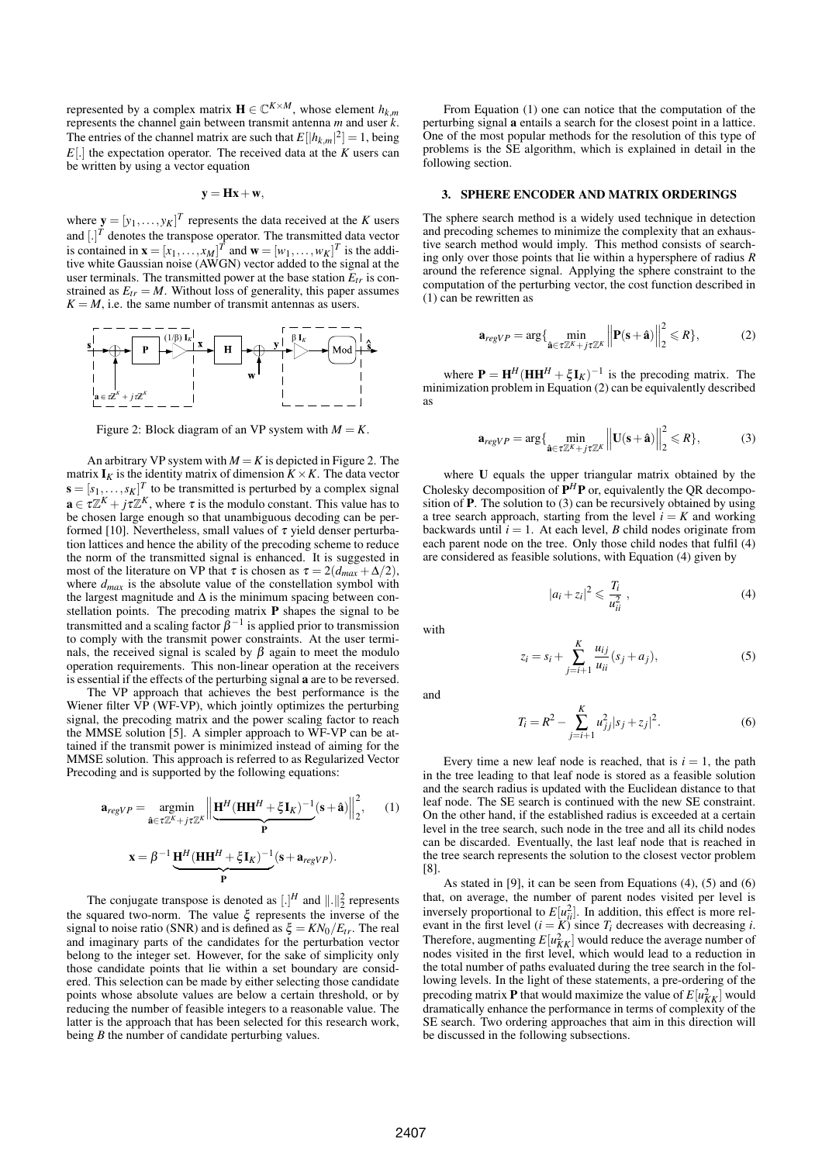represented by a complex matrix  $\mathbf{H} \in \mathbb{C}^{K \times M}$ , whose element  $h_{k,m}$ represents the channel gain between transmit antenna *m* and user *k*. The entries of the channel matrix are such that  $E[|h_{k,m}|^2] = 1$ , being *E*[.] the expectation operator. The received data at the *K* users can be written by using a vector equation

# $y = Hx + w$ ,

where  $\mathbf{y} = [y_1, \dots, y_K]^T$  represents the data received at the *K* users and  $\left[ . \right]^T$  denotes the transpose operator. The transmitted data vector is contained in  $\mathbf{x} = [x_1, \dots, x_M]^T$  and  $\mathbf{w} = [w_1, \dots, w_K]^T$  is the additive white Gaussian noise (AWGN) vector added to the signal at the user terminals. The transmitted power at the base station *Etr* is constrained as  $E_{tr} = M$ . Without loss of generality, this paper assumes  $K = M$ , i.e. the same number of transmit antennas as users.



Figure 2: Block diagram of an VP system with  $M = K$ .

An arbitrary VP system with  $M = K$  is depicted in Figure 2. The matrix  $I_K$  is the identity matrix of dimension  $K \times K$ . The data vector  $\mathbf{s} = [s_1, \dots, s_K]^T$  to be transmitted is perturbed by a complex signal  $\mathbf{a} \in \tau \mathbb{Z}^K + j\tau \mathbb{Z}^K$ , where  $\tau$  is the modulo constant. This value has to be chosen large enough so that unambiguous decoding can be performed [10]. Nevertheless, small values of  $\tau$  yield denser perturbation lattices and hence the ability of the precoding scheme to reduce the norm of the transmitted signal is enhanced. It is suggested in most of the literature on VP that  $\tau$  is chosen as  $\tau = 2(d_{max} + \Delta/2)$ , where  $d_{max}$  is the absolute value of the constellation symbol with the largest magnitude and  $\Delta$  is the minimum spacing between constellation points. The precoding matrix P shapes the signal to be transmitted and a scaling factor  $\beta^{-1}$  is applied prior to transmission to comply with the transmit power constraints. At the user terminals, the received signal is scaled by  $\beta$  again to meet the modulo operation requirements. This non-linear operation at the receivers is essential if the effects of the perturbing signal a are to be reversed.

The VP approach that achieves the best performance is the Wiener filter  $\hat{VP}$  (WF-VP), which jointly optimizes the perturbing signal, the precoding matrix and the power scaling factor to reach the MMSE solution [5]. A simpler approach to WF-VP can be attained if the transmit power is minimized instead of aiming for the MMSE solution. This approach is referred to as Regularized Vector Precoding and is supported by the following equations:

$$
\mathbf{a}_{regVP} = \underset{\hat{\mathbf{a}} \in \tau \mathbb{Z}^K + j\tau \mathbb{Z}^K}{\operatorname{argmin}} \left\| \underbrace{\mathbf{H}^H (\mathbf{H} \mathbf{H}^H + \xi \mathbf{I}_K)^{-1}}_{\mathbf{P}} (\mathbf{s} + \hat{\mathbf{a}}) \right\|_2^2, \quad (1)
$$
\n
$$
\mathbf{x} = \beta^{-1} \underbrace{\mathbf{H}^H (\mathbf{H} \mathbf{H}^H + \xi \mathbf{I}_K)^{-1}}_{\mathbf{P}} (\mathbf{s} + \mathbf{a}_{regVP}).
$$

The conjugate transpose is denoted as  $[.]^H$  and  $\|.\|_2^2$  represents the squared two-norm. The value ξ represents the inverse of the signal to noise ratio (SNR) and is defined as  $\xi = KN_0/E_{tr}$ . The real and imaginary parts of the candidates for the perturbation vector belong to the integer set. However, for the sake of simplicity only those candidate points that lie within a set boundary are considered. This selection can be made by either selecting those candidate points whose absolute values are below a certain threshold, or by reducing the number of feasible integers to a reasonable value. The latter is the approach that has been selected for this research work, being *B* the number of candidate perturbing values.

From Equation (1) one can notice that the computation of the perturbing signal a entails a search for the closest point in a lattice. One of the most popular methods for the resolution of this type of problems is the SE algorithm, which is explained in detail in the following section.

### 3. SPHERE ENCODER AND MATRIX ORDERINGS

The sphere search method is a widely used technique in detection and precoding schemes to minimize the complexity that an exhaustive search method would imply. This method consists of searching only over those points that lie within a hypersphere of radius *R* around the reference signal. Applying the sphere constraint to the computation of the perturbing vector, the cost function described in (1) can be rewritten as

$$
\mathbf{a}_{regVP} = \arg \{ \min_{\hat{\mathbf{a}} \in \tau \mathbb{Z}^K + j\tau \mathbb{Z}^K} \left\| \mathbf{P}(\mathbf{s} + \hat{\mathbf{a}}) \right\|_2^2 \leq R \},\tag{2}
$$

where  $P = H^H(HH^H + \xi I_K)^{-1}$  is the precoding matrix. The minimization problem in Equation (2) can be equivalently described as

$$
\mathbf{a}_{regVP} = \arg\{\min_{\hat{\mathbf{a}} \in \tau \mathbb{Z}^K + j\tau \mathbb{Z}^K} \left\| \mathbf{U}(\mathbf{s} + \hat{\mathbf{a}}) \right\|_2^2 \leq R\},\tag{3}
$$

where U equals the upper triangular matrix obtained by the Cholesky decomposition of  $P^H P$  or, equivalently the QR decomposition of P. The solution to (3) can be recursively obtained by using a tree search approach, starting from the level  $i = K$  and working backwards until  $i = 1$ . At each level, *B* child nodes originate from each parent node on the tree. Only those child nodes that fulfil (4) are considered as feasible solutions, with Equation (4) given by

$$
|a_i + z_i|^2 \leqslant \frac{T_i}{u_{ii}^2} \,,\tag{4}
$$

with

$$
z_i = s_i + \sum_{j=i+1}^{K} \frac{u_{ij}}{u_{ii}} (s_j + a_j),
$$
 (5)

and

$$
T_i = R^2 - \sum_{j=i+1}^{K} u_{jj}^2 |s_j + z_j|^2.
$$
 (6)

Every time a new leaf node is reached, that is  $i = 1$ , the path in the tree leading to that leaf node is stored as a feasible solution and the search radius is updated with the Euclidean distance to that leaf node. The SE search is continued with the new SE constraint. On the other hand, if the established radius is exceeded at a certain level in the tree search, such node in the tree and all its child nodes can be discarded. Eventually, the last leaf node that is reached in the tree search represents the solution to the closest vector problem [8].

As stated in [9], it can be seen from Equations (4), (5) and (6) that, on average, the number of parent nodes visited per level is inversely proportional to  $E[u_{ii}^2]$ . In addition, this effect is more relevant in the first level  $(i = K)$  since  $T_i$  decreases with decreasing *i*. Therefore, augmenting  $E[u_{KK}^2]$  would reduce the average number of nodes visited in the first level, which would lead to a reduction in the total number of paths evaluated during the tree search in the following levels. In the light of these statements, a pre-ordering of the precoding matrix **P** that would maximize the value of  $E[u_{KK}^2]$  would dramatically enhance the performance in terms of complexity of the SE search. Two ordering approaches that aim in this direction will be discussed in the following subsections.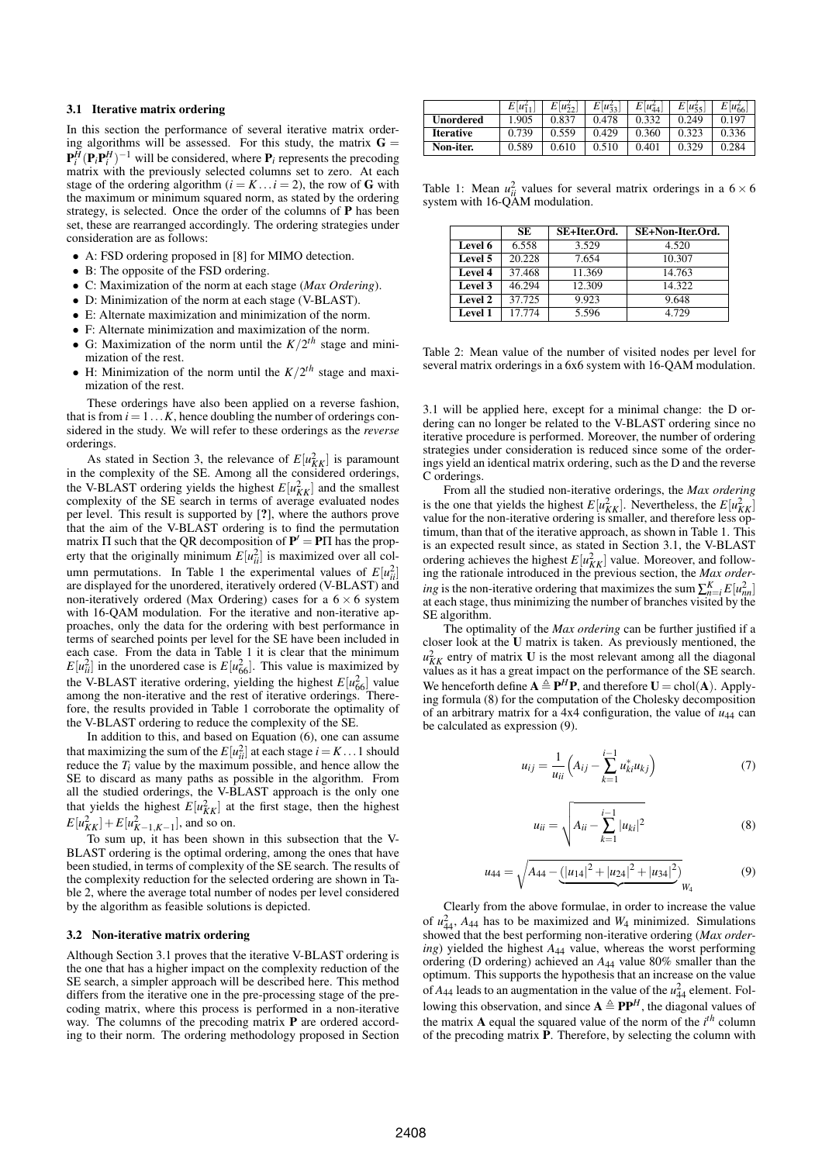#### 3.1 Iterative matrix ordering

In this section the performance of several iterative matrix ordering algorithms will be assessed. For this study, the matrix  $G =$  ${\bf P}_i^H({\bf P}_i{\bf P}_i^H)^{-1}$  will be considered, where  ${\bf P}_i$  represents the precoding matrix with the previously selected columns set to zero. At each stage of the ordering algorithm  $(i = K... i = 2)$ , the row of G with the maximum or minimum squared norm, as stated by the ordering strategy, is selected. Once the order of the columns of P has been set, these are rearranged accordingly. The ordering strategies under consideration are as follows:

- A: FSD ordering proposed in [8] for MIMO detection.
- B: The opposite of the FSD ordering.
- C: Maximization of the norm at each stage (*Max Ordering*).
- D: Minimization of the norm at each stage (V-BLAST).
- E: Alternate maximization and minimization of the norm.
- F: Alternate minimization and maximization of the norm.
- G: Maximization of the norm until the  $K/2^{th}$  stage and minimization of the rest.
- H: Minimization of the norm until the  $K/2^{th}$  stage and maximization of the rest.

These orderings have also been applied on a reverse fashion, that is from  $i = 1...K$ , hence doubling the number of orderings considered in the study. We will refer to these orderings as the *reverse* orderings.

As stated in Section 3, the relevance of  $E[u_{\overline{K}K}^2]$  is paramount in the complexity of the SE. Among all the considered orderings, the V-BLAST ordering yields the highest  $E[u_{KK}^2]$  and the smallest complexity of the SE search in terms of average evaluated nodes per level. This result is supported by [?], where the authors prove that the aim of the V-BLAST ordering is to find the permutation matrix  $\Pi$  such that the QR decomposition of  $P' = P\Pi$  has the property that the originally minimum  $E[u_{ii}^2]$  is maximized over all column permutations. In Table 1 the experimental values of  $E[u_{ii}^2]$ are displayed for the unordered, iteratively ordered (V-BLAST) and non-iteratively ordered (Max Ordering) cases for a  $6 \times 6$  system with 16-QAM modulation. For the iterative and non-iterative approaches, only the data for the ordering with best performance in terms of searched points per level for the SE have been included in each case. From the data in Table 1 it is clear that the minimum  $E[u_{ii}^2]$  in the unordered case is  $E[u_{66}^2]$ . This value is maximized by the V-BLAST iterative ordering, yielding the highest  $E[u_{66}^2]$  value among the non-iterative and the rest of iterative orderings. Therefore, the results provided in Table 1 corroborate the optimality of the V-BLAST ordering to reduce the complexity of the SE.

In addition to this, and based on Equation (6), one can assume that maximizing the sum of the  $E[u_{ii}^2]$  at each stage  $i = K \dots 1$  should reduce the  $T_i$  value by the maximum possible, and hence allow the SE to discard as many paths as possible in the algorithm. From all the studied orderings, the V-BLAST approach is the only one that yields the highest  $E[u_{KK}^2]$  at the first stage, then the highest  $E[u_{KK}^2] + E[u_{K-1,K-1}^2]$ , and so on.

To sum up, it has been shown in this subsection that the V-BLAST ordering is the optimal ordering, among the ones that have been studied, in terms of complexity of the SE search. The results of the complexity reduction for the selected ordering are shown in Table 2, where the average total number of nodes per level considered by the algorithm as feasible solutions is depicted.

#### 3.2 Non-iterative matrix ordering

Although Section 3.1 proves that the iterative V-BLAST ordering is the one that has a higher impact on the complexity reduction of the SE search, a simpler approach will be described here. This method differs from the iterative one in the pre-processing stage of the precoding matrix, where this process is performed in a non-iterative way. The columns of the precoding matrix **P** are ordered according to their norm. The ordering methodology proposed in Section

|                  |       | $E[u_{22}^2]$ | $E[u_{22}^2]$ | $E[u_{44}^2]$ | $E[u_{55}^2]$ | E<br>$u_{66}^2$ |
|------------------|-------|---------------|---------------|---------------|---------------|-----------------|
| <b>Unordered</b> | 1.905 | 0.837         | 0.478         | 0.332         | .249          | 0.197           |
| <b>Iterative</b> | 0.739 | 0.559         | 0.429         | 0.360         | 0.323         | 0.336           |
| Non-iter.        | 0.589 | 0.610         | 0.510         | 0.401         | 0.329         | 0.284           |

Table 1: Mean  $u_{ii}^2$  values for several matrix orderings in a  $6 \times 6$ system with 16-QAM modulation.

|                | SE     | SE+Iter.Ord. | SE+Non-Iter.Ord. |
|----------------|--------|--------------|------------------|
| Level 6        | 6.558  | 3.529        | 4.520            |
| Level 5        | 20.228 | 7.654        | 10.307           |
| <b>Level 4</b> | 37.468 | 11.369       | 14.763           |
| Level 3        | 46.294 | 12.309       | 14.322           |
| <b>Level 2</b> | 37.725 | 9.923        | 9.648            |
| <b>Level 1</b> | 17.774 | 5.596        | 4.729            |

Table 2: Mean value of the number of visited nodes per level for several matrix orderings in a 6x6 system with 16-QAM modulation.

3.1 will be applied here, except for a minimal change: the D ordering can no longer be related to the V-BLAST ordering since no iterative procedure is performed. Moreover, the number of ordering strategies under consideration is reduced since some of the orderings yield an identical matrix ordering, such as the D and the reverse C orderings.

From all the studied non-iterative orderings, the *Max ordering* is the one that yields the highest  $E[u_{KK}^2]$ . Nevertheless, the  $E[u_{KK}^2]$ value for the non-iterative ordering is smaller, and therefore less optimum, than that of the iterative approach, as shown in Table 1. This is an expected result since, as stated in Section 3.1, the V-BLAST ordering achieves the highest  $E[u_{KK}^2]$  value. Moreover, and following the rationale introduced in the previous section, the *Max ordering* is the non-iterative ordering that maximizes the sum  $\sum_{n=i}^{K} E[u_{nn}^2]$ at each stage, thus minimizing the number of branches visited by the SE algorithm.

The optimality of the *Max ordering* can be further justified if a closer look at the U matrix is taken. As previously mentioned, the  $u_{KK}^2$  entry of matrix **U** is the most relevant among all the diagonal values as it has a great impact on the performance of the SE search. We henceforth define  $A \triangleq P^H P$ , and therefore  $U = \text{chol}(A)$ . Applying formula (8) for the computation of the Cholesky decomposition of an arbitrary matrix for a  $4x4$  configuration, the value of  $u_{44}$  can be calculated as expression (9).

$$
u_{ij} = \frac{1}{u_{ii}} \left( A_{ij} - \sum_{k=1}^{i-1} u_{ki}^* u_{kj} \right)
$$
 (7)

$$
u_{ii} = \sqrt{A_{ii} - \sum_{k=1}^{i-1} |u_{ki}|^2}
$$
 (8)

$$
u_{44} = \sqrt{A_{44} - \underbrace{(|u_{14}|^2 + |u_{24}|^2 + |u_{34}|^2)}_{W_4}} \tag{9}
$$

Clearly from the above formulae, in order to increase the value of  $u_{44}^2$ ,  $A_{44}$  has to be maximized and  $W_4$  minimized. Simulations showed that the best performing non-iterative ordering (*Max ordering*) yielded the highest *A*<sup>44</sup> value, whereas the worst performing ordering (D ordering) achieved an *A*<sup>44</sup> value 80% smaller than the optimum. This supports the hypothesis that an increase on the value of  $A_{44}$  leads to an augmentation in the value of the  $u_{44}^2$  element. Following this observation, and since  $A \triangleq PP^H$ , the diagonal values of the matrix  $\bf{A}$  equal the squared value of the norm of the  $i^{th}$  column of the precoding matrix  $\tilde{P}$ . Therefore, by selecting the column with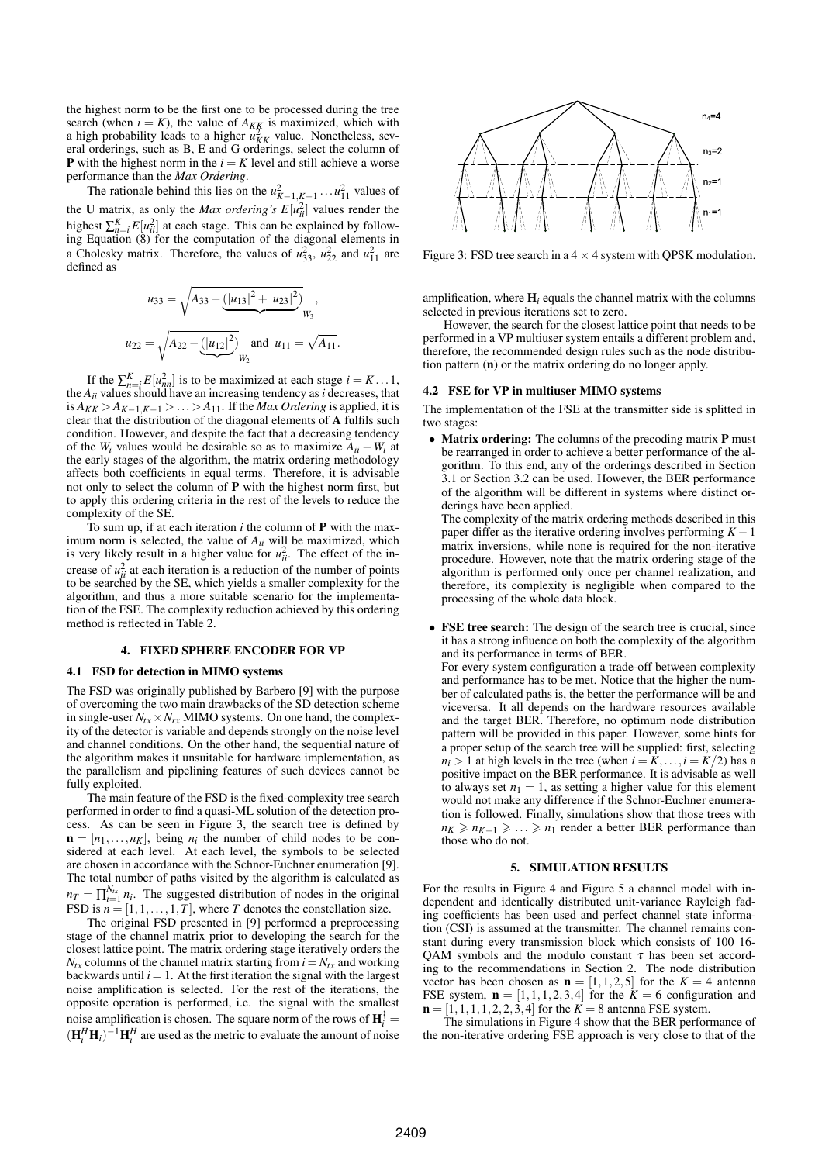the highest norm to be the first one to be processed during the tree search (when  $i = K$ ), the value of  $A_{KK}$  is maximized, which with a high probability leads to a higher  $u_{KK}^2$  value. Nonetheless, several orderings, such as B, E and G orderings, select the column of **P** with the highest norm in the  $i = K$  level and still achieve a worse performance than the *Max Ordering*.

The rationale behind this lies on the  $u_{K-1,K-1}^2 \dots u_{11}^2$  values of the U matrix, as only the *Max ordering's*  $E[u_{ii}^2]$  values render the highest  $\sum_{n=i}^{K} E[u_{ii}^2]$  at each stage. This can be explained by following Equation (8) for the computation of the diagonal elements in a Cholesky matrix. Therefore, the values of  $u_{33}^2$ ,  $u_{22}^2$  and  $u_{11}^2$  are defined as

$$
u_{33} = \sqrt{A_{33} - (\frac{|u_{13}|^2 + |u_{23}|^2}{w_3})},
$$
  

$$
u_{22} = \sqrt{A_{22} - (\frac{|u_{12}|^2}{w_2})},
$$
 and  $u_{11} = \sqrt{A_{11}}.$ 

If the  $\sum_{n=i}^{K} E[u_{nn}^2]$  is to be maximized at each stage  $i = K...1$ , the *Aii* values should have an increasing tendency as *i* decreases, that is  $A_{KK}$  >  $A_{K-1,K-1}$  > ... >  $A_{11}$ . If the *Max Ordering* is applied, it is clear that the distribution of the diagonal elements of A fulfils such condition. However, and despite the fact that a decreasing tendency of the  $W_i$  values would be desirable so as to maximize  $A_{ii} - W_i$  at the early stages of the algorithm, the matrix ordering methodology affects both coefficients in equal terms. Therefore, it is advisable not only to select the column of P with the highest norm first, but to apply this ordering criteria in the rest of the levels to reduce the complexity of the SE.

To sum up, if at each iteration *i* the column of P with the maximum norm is selected, the value of *Aii* will be maximized, which is very likely result in a higher value for  $u_{ii}^2$ . The effect of the increase of  $u_{ii}^2$  at each iteration is a reduction of the number of points to be searched by the SE, which yields a smaller complexity for the algorithm, and thus a more suitable scenario for the implementation of the FSE. The complexity reduction achieved by this ordering method is reflected in Table 2.

# 4. FIXED SPHERE ENCODER FOR VP

## 4.1 FSD for detection in MIMO systems

The FSD was originally published by Barbero [9] with the purpose of overcoming the two main drawbacks of the SD detection scheme in single-user  $N_{tx} \times N_{rx}$  MIMO systems. On one hand, the complexity of the detector is variable and depends strongly on the noise level and channel conditions. On the other hand, the sequential nature of the algorithm makes it unsuitable for hardware implementation, as the parallelism and pipelining features of such devices cannot be fully exploited.

The main feature of the FSD is the fixed-complexity tree search performed in order to find a quasi-ML solution of the detection process. As can be seen in Figure 3, the search tree is defined by  $\mathbf{n} = [n_1, \dots, n_K]$ , being  $n_i$  the number of child nodes to be considered at each level. At each level, the symbols to be selected are chosen in accordance with the Schnor-Euchner enumeration [9]. The total number of paths visited by the algorithm is calculated as  $n_T = \prod_{i=1}^{N_{tx}} n_i$ . The suggested distribution of nodes in the original FSD is  $n = [1, 1, \ldots, 1, T]$ , where *T* denotes the constellation size.

The original FSD presented in [9] performed a preprocessing stage of the channel matrix prior to developing the search for the closest lattice point. The matrix ordering stage iteratively orders the  $N_{tx}$  columns of the channel matrix starting from  $i = N_{tx}$  and working backwards until  $i = 1$ . At the first iteration the signal with the largest noise amplification is selected. For the rest of the iterations, the opposite operation is performed, i.e. the signal with the smallest noise amplification is chosen. The square norm of the rows of  $\mathbf{H}_i^{\dagger} =$  $(\mathbf{H}_i^H \mathbf{H}_i)^{-1} \mathbf{H}_i^H$  are used as the metric to evaluate the amount of noise



Figure 3: FSD tree search in a  $4 \times 4$  system with QPSK modulation.

amplification, where  $H_i$  equals the channel matrix with the columns selected in previous iterations set to zero.

However, the search for the closest lattice point that needs to be performed in a VP multiuser system entails a different problem and, therefore, the recommended design rules such as the node distribution pattern (n) or the matrix ordering do no longer apply.

## 4.2 FSE for VP in multiuser MIMO systems

The implementation of the FSE at the transmitter side is splitted in two stages:

• Matrix ordering: The columns of the precoding matrix P must be rearranged in order to achieve a better performance of the algorithm. To this end, any of the orderings described in Section 3.1 or Section 3.2 can be used. However, the BER performance of the algorithm will be different in systems where distinct orderings have been applied.

The complexity of the matrix ordering methods described in this paper differ as the iterative ordering involves performing  $K - 1$ matrix inversions, while none is required for the non-iterative procedure. However, note that the matrix ordering stage of the algorithm is performed only once per channel realization, and therefore, its complexity is negligible when compared to the processing of the whole data block.

• FSE tree search: The design of the search tree is crucial, since it has a strong influence on both the complexity of the algorithm and its performance in terms of BER.

For every system configuration a trade-off between complexity and performance has to be met. Notice that the higher the number of calculated paths is, the better the performance will be and viceversa. It all depends on the hardware resources available and the target BER. Therefore, no optimum node distribution pattern will be provided in this paper. However, some hints for a proper setup of the search tree will be supplied: first, selecting  $n_i > 1$  at high levels in the tree (when  $i = K, \ldots, i = K/2$ ) has a positive impact on the BER performance. It is advisable as well to always set  $n_1 = 1$ , as setting a higher value for this element would not make any difference if the Schnor-Euchner enumeration is followed. Finally, simulations show that those trees with  $n_K \ge n_{K-1} \ge \ldots \ge n_1$  render a better BER performance than those who do not.

# 5. SIMULATION RESULTS

For the results in Figure 4 and Figure 5 a channel model with independent and identically distributed unit-variance Rayleigh fading coefficients has been used and perfect channel state information (CSI) is assumed at the transmitter. The channel remains constant during every transmission block which consists of 100 16- QAM symbols and the modulo constant  $\tau$  has been set according to the recommendations in Section 2. The node distribution vector has been chosen as  $\mathbf{n} = [1, 1, 2, 5]$  for the  $K = 4$  antenna FSE system,  $\mathbf{n} = \begin{bmatrix} 1,1,1,2,3,4 \end{bmatrix}$  for the  $K = 6$  configuration and  **for the**  $K = 8$  **antenna FSE system.** 

The simulations in Figure 4 show that the BER performance of the non-iterative ordering FSE approach is very close to that of the